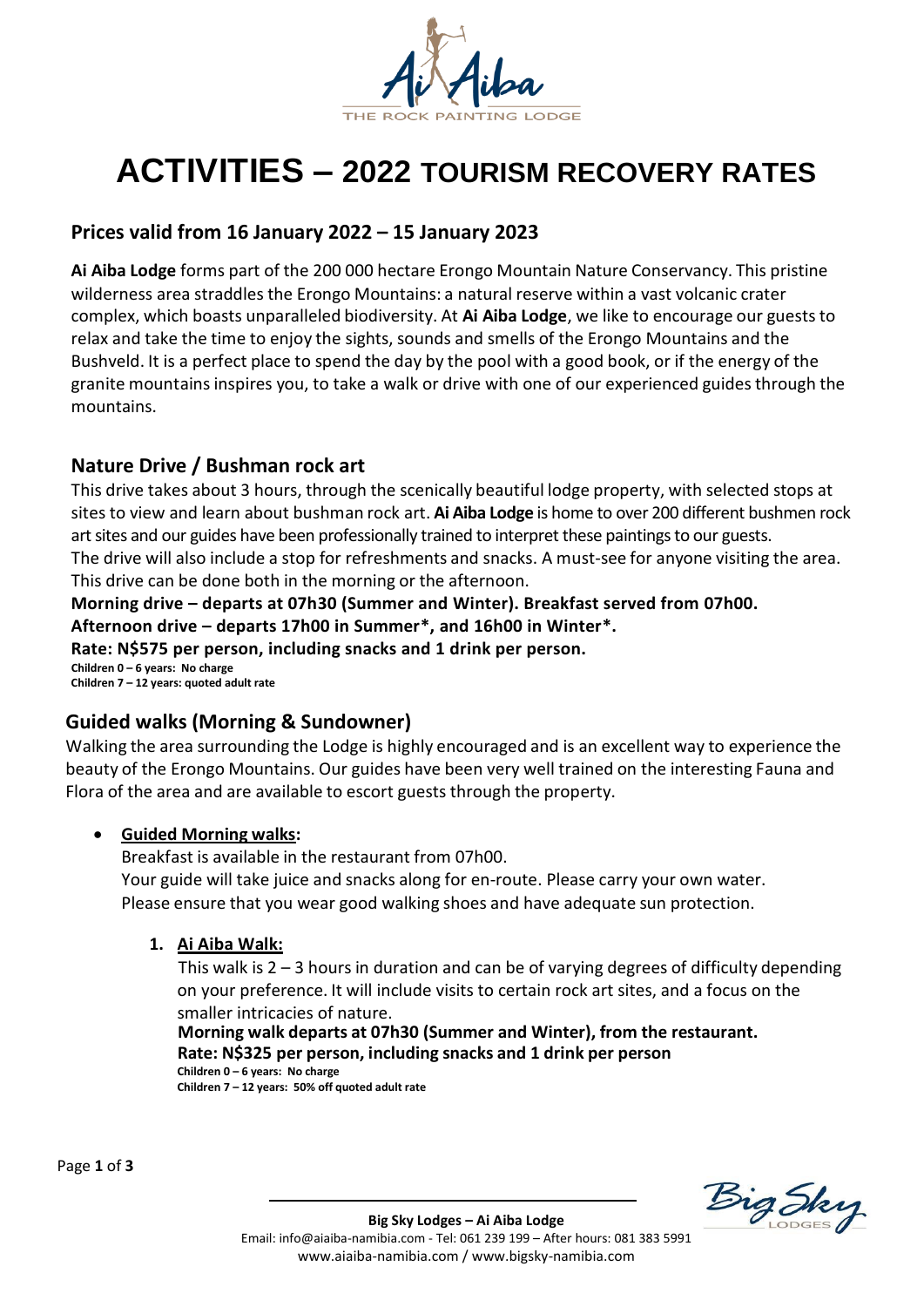

# **ACTIVITIES – 2022 TOURISM RECOVERY RATES**

# **Prices valid from 16 January 2022 – 15 January 2023**

**Ai Aiba Lodge** forms part of the 200 000 hectare Erongo Mountain Nature Conservancy. This pristine wilderness area straddles the Erongo Mountains: a natural reserve within a vast volcanic crater complex, which boasts unparalleled biodiversity. At **Ai Aiba Lodge**, we like to encourage our guests to relax and take the time to enjoy the sights, sounds and smells of the Erongo Mountains and the Bushveld. It is a perfect place to spend the day by the pool with a good book, or if the energy of the granite mountains inspires you, to take a walk or drive with one of our experienced guides through the mountains.

## **Nature Drive / Bushman rock art**

This drive takes about 3 hours, through the scenically beautiful lodge property, with selected stops at sites to view and learn about bushman rock art. **Ai Aiba Lodge** is home to over 200 different bushmen rock art sites and our guides have been professionally trained to interpret these paintings to our guests. The drive will also include a stop for refreshments and snacks. A must-see for anyone visiting the area. This drive can be done both in the morning or the afternoon.

**Morning drive – departs at 07h30 (Summer and Winter). Breakfast served from 07h00. Afternoon drive – departs 17h00 in Summer\*, and 16h00 in Winter\*. Rate: N\$575 per person, including snacks and 1 drink per person. Children 0 – 6 years: No charge Children 7 – 12 years: quoted adult rate** 

## **Guided walks (Morning & Sundowner)**

Walking the area surrounding the Lodge is highly encouraged and is an excellent way to experience the beauty of the Erongo Mountains. Our guides have been very well trained on the interesting Fauna and Flora of the area and are available to escort guests through the property.

#### • **Guided Morning walks:**

Breakfast is available in the restaurant from 07h00. Your guide will take juice and snacks along for en-route. Please carry your own water. Please ensure that you wear good walking shoes and have adequate sun protection.

#### **1. Ai Aiba Walk:**

This walk is 2 – 3 hours in duration and can be of varying degrees of difficulty depending on your preference. It will include visits to certain rock art sites, and a focus on the smaller intricacies of nature.

 **Morning walk departs at 07h30 (Summer and Winter), from the restaurant. Rate: N\$325 per person, including snacks and 1 drink per person Children 0 – 6 years: No charge Children 7 – 12 years: 50% off quoted adult rate** 

Page **1** of **3**

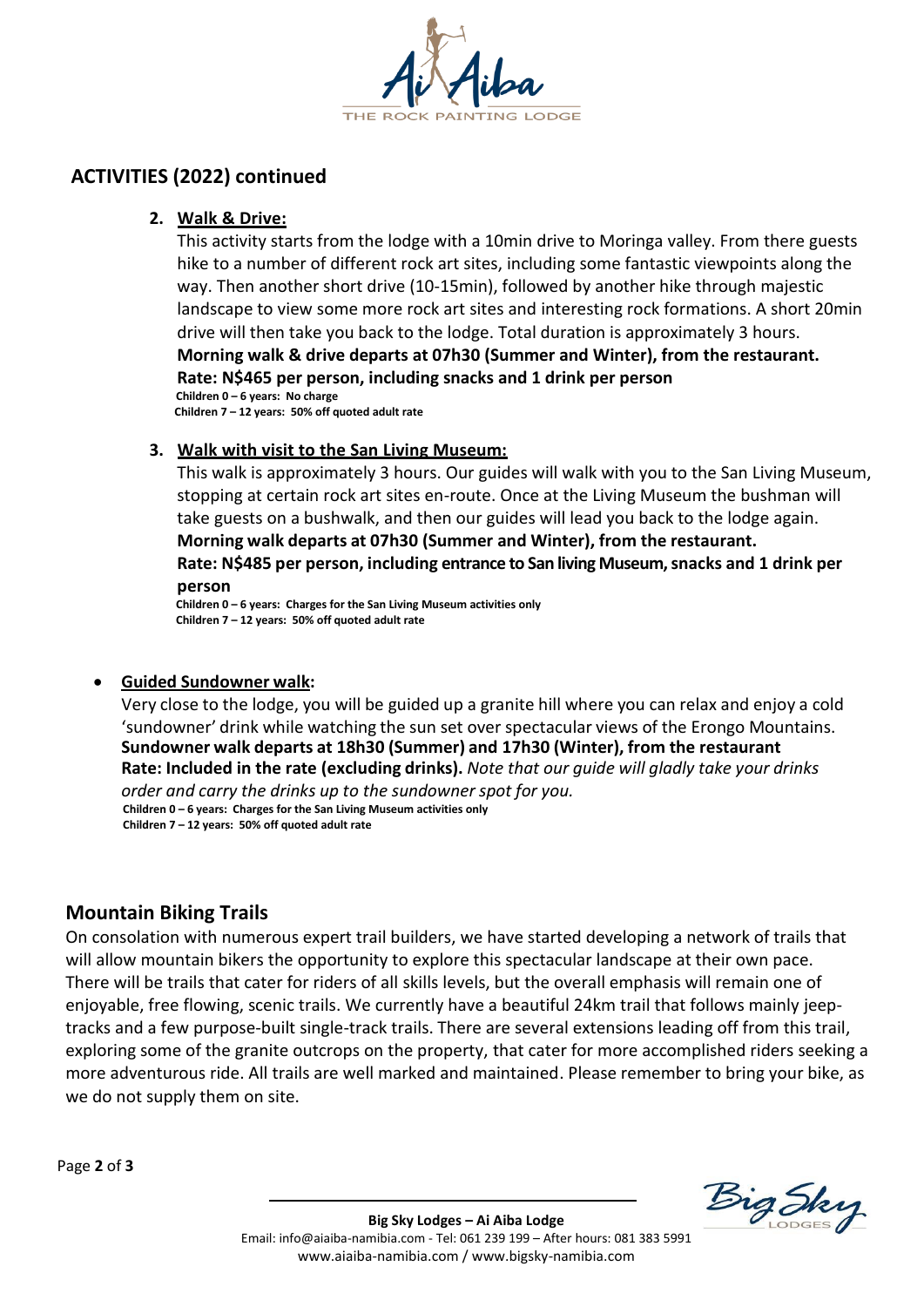

# **ACTIVITIES (2022) continued**

#### **2. Walk & Drive:**

This activity starts from the lodge with a 10min drive to Moringa valley. From there guests hike to a number of different rock art sites, including some fantastic viewpoints along the way. Then another short drive (10-15min), followed by another hike through majestic landscape to view some more rock art sites and interesting rock formations. A short 20min drive will then take you back to the lodge. Total duration is approximately 3 hours. **Morning walk & drive departs at 07h30 (Summer and Winter), from the restaurant. Rate: N\$465 per person, including snacks and 1 drink per person Children 0 – 6 years: No charge**

 **Children 7 – 12 years: 50% off quoted adult rate**

#### **3. Walk with visit to the San Living Museum:**

This walk is approximately 3 hours. Our guides will walk with you to the San Living Museum, stopping at certain rock art sites en-route. Once at the Living Museum the bushman will take guests on a bushwalk, and then our guides will lead you back to the lodge again. **Morning walk departs at 07h30 (Summer and Winter), from the restaurant. Rate: N\$485 per person, including entrance to San living Museum, snacks and 1 drink per person**

**Children 0 – 6 years: Charges for the San Living Museum activities only Children 7 – 12 years: 50% off quoted adult rate**

#### • **Guided Sundowner walk:**

Very close to the lodge, you will be guided up a granite hill where you can relax and enjoy a cold 'sundowner' drink while watching the sun set over spectacular views of the Erongo Mountains. **Sundowner walk departs at 18h30 (Summer) and 17h30 (Winter), from the restaurant Rate: Included in the rate (excluding drinks).** *Note that our guide will gladly take your drinks*

*order and carry the drinks up to the sundowner spot for you.* **Children 0 – 6 years: Charges for the San Living Museum activities only Children 7 – 12 years: 50% off quoted adult rate**

#### **Mountain Biking Trails**

On consolation with numerous expert trail builders, we have started developing a network of trails that will allow mountain bikers the opportunity to explore this spectacular landscape at their own pace. There will be trails that cater for riders of all skills levels, but the overall emphasis will remain one of enjoyable, free flowing, scenic trails. We currently have a beautiful 24km trail that follows mainly jeeptracks and a few purpose-built single-track trails. There are several extensions leading off from this trail, exploring some of the granite outcrops on the property, that cater for more accomplished riders seeking a more adventurous ride. All trails are well marked and maintained. Please remember to bring your bike, as we do not supply them on site.

Page **2** of **3**